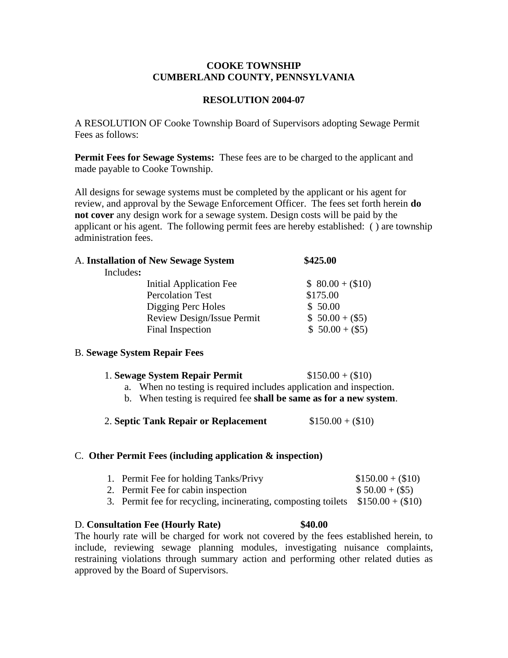## **COOKE TOWNSHIP CUMBERLAND COUNTY, PENNSYLVANIA**

## **RESOLUTION 2004-07**

A RESOLUTION OF Cooke Township Board of Supervisors adopting Sewage Permit Fees as follows:

**Permit Fees for Sewage Systems:** These fees are to be charged to the applicant and made payable to Cooke Township.

All designs for sewage systems must be completed by the applicant or his agent for review, and approval by the Sewage Enforcement Officer. The fees set forth herein **do not cover** any design work for a sewage system. Design costs will be paid by the applicant or his agent. The following permit fees are hereby established: ( ) are township administration fees.

| A. Installation of New Sewage System | \$425.00         |  |
|--------------------------------------|------------------|--|
| Includes:                            |                  |  |
| Initial Application Fee              | $$80.00 + ($10)$ |  |
| <b>Percolation Test</b>              | \$175.00         |  |
| Digging Perc Holes                   | \$50.00          |  |
| Review Design/Issue Permit           | $$50.00 + ($5)$  |  |
| Final Inspection                     | $$50.00 + ($5)$  |  |
|                                      |                  |  |

# B. **Sewage System Repair Fees**

| 1. Sewage System Repair Permit | $$150.00 + ($10)$ |
|--------------------------------|-------------------|
|--------------------------------|-------------------|

- a. When no testing is required includes application and inspection.
- b. When testing is required fee **shall be same as for a new system**.
- 2. **Septic Tank Repair or Replacement** \$150.00 + (\$10)

#### C. **Other Permit Fees (including application & inspection)**

| 1. Permit Fee for holding Tanks/Privy                                           | $$150.00 + ($10)$ |
|---------------------------------------------------------------------------------|-------------------|
| 2. Permit Fee for cabin inspection                                              | $$50.00 + ($5)$   |
| 3. Permit fee for recycling, incinerating, composting toilets $$150.00 + ($10)$ |                   |

### D. **Consultation Fee (Hourly Rate) \$40.00**

The hourly rate will be charged for work not covered by the fees established herein, to include, reviewing sewage planning modules, investigating nuisance complaints, restraining violations through summary action and performing other related duties as approved by the Board of Supervisors.